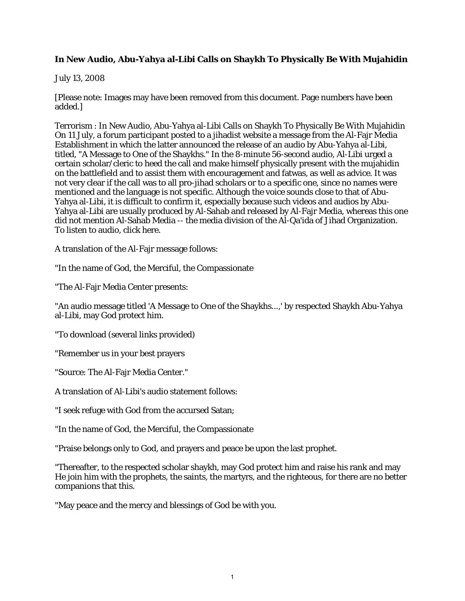## **In New Audio, Abu-Yahya al-Libi Calls on Shaykh To Physically Be With Mujahidin**

## July 13, 2008

[Please note: Images may have been removed from this document. Page numbers have been added.]

Terrorism : In New Audio, Abu-Yahya al-Libi Calls on Shaykh To Physically Be With Mujahidin On 11 July, a forum participant posted to a jihadist website a message from the Al-Fajr Media Establishment in which the latter announced the release of an audio by Abu-Yahya al-Libi, titled, "A Message to One of the Shaykhs." In the 8-minute 56-second audio, Al-Libi urged a certain scholar/cleric to heed the call and make himself physically present with the mujahidin on the battlefield and to assist them with encouragement and fatwas, as well as advice. It was not very clear if the call was to all pro-jihad scholars or to a specific one, since no names were mentioned and the language is not specific. Although the voice sounds close to that of Abu-Yahya al-Libi, it is difficult to confirm it, especially because such videos and audios by Abu-Yahya al-Libi are usually produced by Al-Sahab and released by Al-Fajr Media, whereas this one did not mention Al-Sahab Media -- the media division of the Al-Qa'ida of Jihad Organization. To listen to audio, click here.

A translation of the Al-Fajr message follows:

"In the name of God, the Merciful, the Compassionate

"The Al-Fajr Media Center presents:

"An audio message titled 'A Message to One of the Shaykhs...,' by respected Shaykh Abu-Yahya al-Libi, may God protect him.

"To download (several links provided)

"Remember us in your best prayers

"Source: The Al-Fajr Media Center."

A translation of Al-Libi's audio statement follows:

"I seek refuge with God from the accursed Satan;

"In the name of God, the Merciful, the Compassionate

"Praise belongs only to God, and prayers and peace be upon the last prophet.

"Thereafter, to the respected scholar shaykh, may God protect him and raise his rank and may He join him with the prophets, the saints, the martyrs, and the righteous, for there are no better companions that this.

"May peace and the mercy and blessings of God be with you.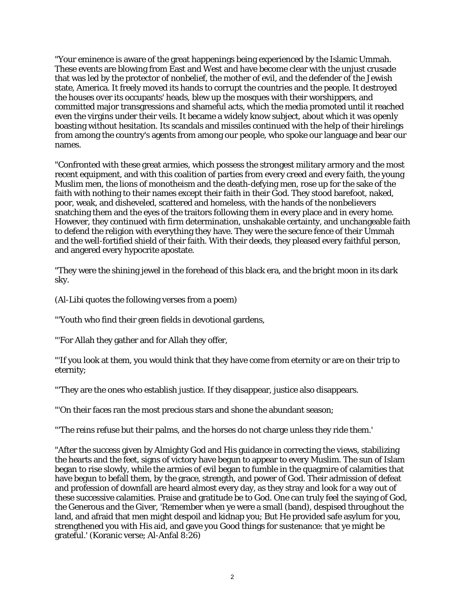"Your eminence is aware of the great happenings being experienced by the Islamic Ummah. These events are blowing from East and West and have become clear with the unjust crusade that was led by the protector of nonbelief, the mother of evil, and the defender of the Jewish state, America. It freely moved its hands to corrupt the countries and the people. It destroyed the houses over its occupants' heads, blew up the mosques with their worshippers, and committed major transgressions and shameful acts, which the media promoted until it reached even the virgins under their veils. It became a widely know subject, about which it was openly boasting without hesitation. Its scandals and missiles continued with the help of their hirelings from among the country's agents from among our people, who spoke our language and bear our names.

"Confronted with these great armies, which possess the strongest military armory and the most recent equipment, and with this coalition of parties from every creed and every faith, the young Muslim men, the lions of monotheism and the death-defying men, rose up for the sake of the faith with nothing to their names except their faith in their God. They stood barefoot, naked, poor, weak, and disheveled, scattered and homeless, with the hands of the nonbelievers snatching them and the eyes of the traitors following them in every place and in every home. However, they continued with firm determination, unshakable certainty, and unchangeable faith to defend the religion with everything they have. They were the secure fence of their Ummah and the well-fortified shield of their faith. With their deeds, they pleased every faithful person, and angered every hypocrite apostate.

"They were the shining jewel in the forehead of this black era, and the bright moon in its dark sky.

(Al-Libi quotes the following verses from a poem)

"'Youth who find their green fields in devotional gardens,

"'For Allah they gather and for Allah they offer,

"'If you look at them, you would think that they have come from eternity or are on their trip to eternity;

"'They are the ones who establish justice. If they disappear, justice also disappears.

"'On their faces ran the most precious stars and shone the abundant season;

"'The reins refuse but their palms, and the horses do not charge unless they ride them.'

"After the success given by Almighty God and His guidance in correcting the views, stabilizing the hearts and the feet, signs of victory have begun to appear to every Muslim. The sun of Islam began to rise slowly, while the armies of evil began to fumble in the quagmire of calamities that have begun to befall them, by the grace, strength, and power of God. Their admission of defeat and profession of downfall are heard almost every day, as they stray and look for a way out of these successive calamities. Praise and gratitude be to God. One can truly feel the saying of God, the Generous and the Giver, 'Remember when ye were a small (band), despised throughout the land, and afraid that men might despoil and kidnap you; But He provided safe asylum for you, strengthened you with His aid, and gave you Good things for sustenance: that ye might be grateful.' (Koranic verse; Al-Anfal 8:26)